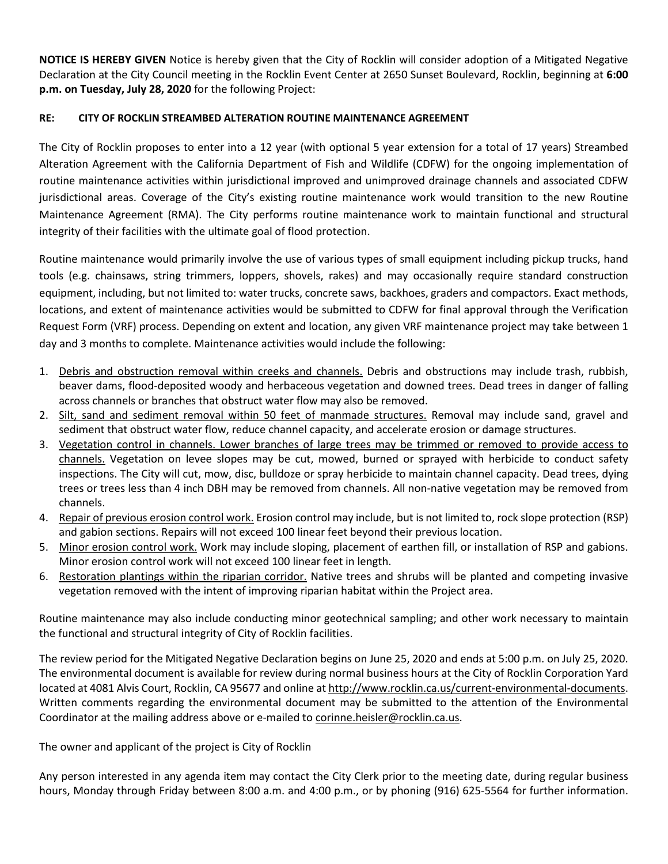**NOTICE IS HEREBY GIVEN** Notice is hereby given that the City of Rocklin will consider adoption of a Mitigated Negative Declaration at the City Council meeting in the Rocklin Event Center at 2650 Sunset Boulevard, Rocklin, beginning at **6:00 p.m. on Tuesday, July 28, 2020** for the following Project:

## **RE: CITY OF ROCKLIN STREAMBED ALTERATION ROUTINE MAINTENANCE AGREEMENT**

The City of Rocklin proposes to enter into a 12 year (with optional 5 year extension for a total of 17 years) Streambed Alteration Agreement with the California Department of Fish and Wildlife (CDFW) for the ongoing implementation of routine maintenance activities within jurisdictional improved and unimproved drainage channels and associated CDFW jurisdictional areas. Coverage of the City's existing routine maintenance work would transition to the new Routine Maintenance Agreement (RMA). The City performs routine maintenance work to maintain functional and structural integrity of their facilities with the ultimate goal of flood protection.

Routine maintenance would primarily involve the use of various types of small equipment including pickup trucks, hand tools (e.g. chainsaws, string trimmers, loppers, shovels, rakes) and may occasionally require standard construction equipment, including, but not limited to: water trucks, concrete saws, backhoes, graders and compactors. Exact methods, locations, and extent of maintenance activities would be submitted to CDFW for final approval through the Verification Request Form (VRF) process. Depending on extent and location, any given VRF maintenance project may take between 1 day and 3 months to complete. Maintenance activities would include the following:

- 1. Debris and obstruction removal within creeks and channels. Debris and obstructions may include trash, rubbish, beaver dams, flood-deposited woody and herbaceous vegetation and downed trees. Dead trees in danger of falling across channels or branches that obstruct water flow may also be removed.
- 2. Silt, sand and sediment removal within 50 feet of manmade structures. Removal may include sand, gravel and sediment that obstruct water flow, reduce channel capacity, and accelerate erosion or damage structures.
- 3. Vegetation control in channels. Lower branches of large trees may be trimmed or removed to provide access to channels. Vegetation on levee slopes may be cut, mowed, burned or sprayed with herbicide to conduct safety inspections. The City will cut, mow, disc, bulldoze or spray herbicide to maintain channel capacity. Dead trees, dying trees or trees less than 4 inch DBH may be removed from channels. All non-native vegetation may be removed from channels.
- 4. Repair of previous erosion control work. Erosion control may include, but is not limited to, rock slope protection (RSP) and gabion sections. Repairs will not exceed 100 linear feet beyond their previous location.
- 5. Minor erosion control work. Work may include sloping, placement of earthen fill, or installation of RSP and gabions. Minor erosion control work will not exceed 100 linear feet in length.
- 6. Restoration plantings within the riparian corridor. Native trees and shrubs will be planted and competing invasive vegetation removed with the intent of improving riparian habitat within the Project area.

Routine maintenance may also include conducting minor geotechnical sampling; and other work necessary to maintain the functional and structural integrity of City of Rocklin facilities.

The review period for the Mitigated Negative Declaration begins on June 25, 2020 and ends at 5:00 p.m. on July 25, 2020. The environmental document is available for review during normal business hours at the City of Rocklin Corporation Yard located at 4081 Alvis Court, Rocklin, CA 95677 and online a[t http://www.rocklin.ca.us/current-environmental-docu](http://www.rocklin.ca.us/depts/develop/planning/currentenvirondocs.asp)ments. Written comments regarding the environmental document may be submitted to the attention of the Environmental Coordinator at the mailing address above or e-mailed to corinne.heisler@rocklin.ca.us.

The owner and applicant of the project is City of Rocklin

Any person interested in any agenda item may contact the City Clerk prior to the meeting date, during regular business hours, Monday through Friday between 8:00 a.m. and 4:00 p.m., or by phoning (916) 625-5564 for further information.